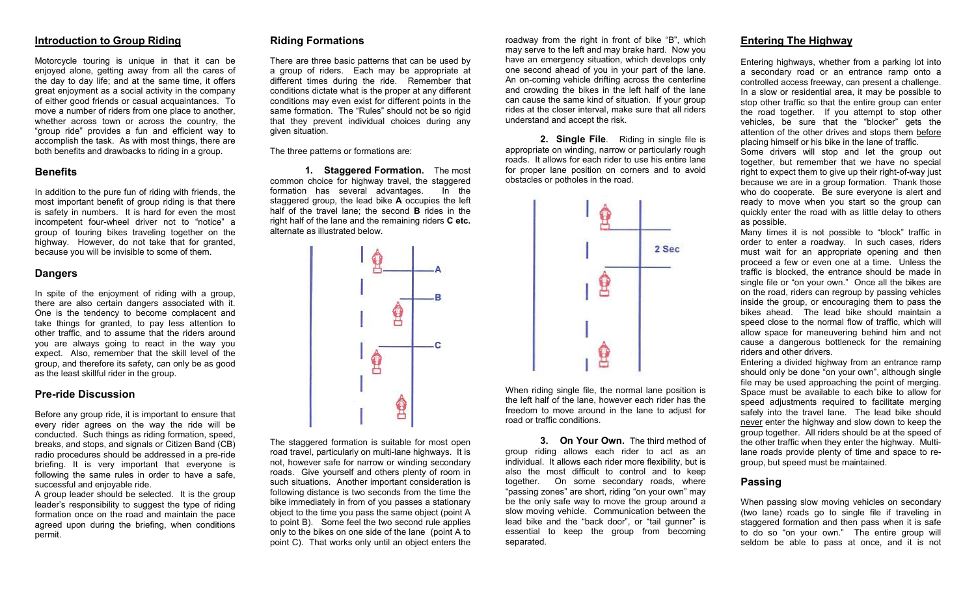# Introduction to Group Riding

Motorcycle touring is unique in that it can be enjoyed alone, getting away from all the cares of the day to day life; and at the same time, it offers great enjoyment as a social activity in the company of either good friends or casual acquaintances. To move a number of riders from one place to another, whether across town or across the country, the "group ride" provides a fun and efficient way to accomplish the task. As with most things, there are both benefits and drawbacks to riding in a group.

## **Benefits**

In addition to the pure fun of riding with friends, the most important benefit of group riding is that there is safety in numbers. It is hard for even the most incompetent four-wheel driver not to "notice" a group of touring bikes traveling together on the highway. However, do not take that for granted, because you will be invisible to some of them.

### **Dangers**

In spite of the enjoyment of riding with a group, there are also certain dangers associated with it. One is the tendency to become complacent and take things for granted, to pay less attention to other traffic, and to assume that the riders around you are always going to react in the way you expect. Also, remember that the skill level of the group, and therefore its safety, can only be as good as the least skillful rider in the group.

### Pre-ride Discussion

Before any group ride, it is important to ensure that every rider agrees on the way the ride will be conducted. Such things as riding formation, speed, breaks, and stops, and signals or Citizen Band (CB) radio procedures should be addressed in a pre-ride briefing. It is very important that everyone is following the same rules in order to have a safe, successful and enjoyable ride.

 A group leader should be selected. It is the group leader's responsibility to suggest the type of riding formation once on the road and maintain the pace agreed upon during the briefing, when conditions permit.

## Riding Formations

There are three basic patterns that can be used by a group of riders. Each may be appropriate at different times during the ride. Remember that conditions dictate what is the proper at any different conditions may even exist for different points in the same formation. The "Rules" should not be so rigid that they prevent individual choices during any given situation.

The three patterns or formations are:

1. Staggered Formation. The most common choice for highway travel, the staggered In the formation has several advantages. staggered group, the lead bike A occupies the left half of the travel lane; the second **B** rides in the right half of the lane and the remaining riders C etc. alternate as illustrated below.



The staggered formation is suitable for most open road travel, particularly on multi-lane highways. It is not, however safe for narrow or winding secondary roads. Give yourself and others plenty of room in such situations. Another important consideration is following distance is two seconds from the time the bike immediately in from of you passes a stationary object to the time you pass the same object (point A to point B). Some feel the two second rule applies only to the bikes on one side of the lane (point A to point C). That works only until an object enters the roadway from the right in front of bike "B", which may serve to the left and may brake hard. Now you have an emergency situation, which develops only one second ahead of you in your part of the lane. An on-coming vehicle drifting across the centerline and crowding the bikes in the left half of the lane can cause the same kind of situation. If your group rides at the closer interval, make sure that all riders understand and accept the risk.

2. Single File. Riding in single file is appropriate on winding, narrow or particularly rough roads. It allows for each rider to use his entire lane for proper lane position on corners and to avoid obstacles or potholes in the road.



When riding single file, the normal lane position is the left half of the lane, however each rider has the freedom to move around in the lane to adjust for road or traffic conditions.

3. On Your Own. The third method of group riding allows each rider to act as an individual. It allows each rider more flexibility, but is also the most difficult to control and to keep together. On some secondary roads, where "passing zones" are short, riding "on your own" may be the only safe way to move the group around a slow moving vehicle. Communication between the lead bike and the "back door", or "tail gunner" is essential to keep the group from becoming separated.

# Entering The Highway

Entering highways, whether from a parking lot into a secondary road or an entrance ramp onto a controlled access freeway, can present a challenge. In a slow or residential area, it may be possible to stop other traffic so that the entire group can enter the road together. If you attempt to stop other vehicles, be sure that the "blocker" gets the attention of the other drives and stops them before placing himself or his bike in the lane of traffic.

 Some drivers will stop and let the group out together, but remember that we have no special right to expect them to give up their right-of-way just because we are in a group formation. Thank those who do cooperate. Be sure everyone is alert and ready to move when you start so the group can quickly enter the road with as little delay to others as possible.

 Many times it is not possible to "block" traffic in order to enter a roadway. In such cases, riders must wait for an appropriate opening and then proceed a few or even one at a time. Unless the traffic is blocked, the entrance should be made in single file or "on your own." Once all the bikes are on the road, riders can regroup by passing vehicles inside the group, or encouraging them to pass the bikes ahead. The lead bike should maintain a speed close to the normal flow of traffic, which will allow space for maneuvering behind him and not cause a dangerous bottleneck for the remaining riders and other drivers.

 Entering a divided highway from an entrance ramp should only be done "on your own", although single file may be used approaching the point of merging. Space must be available to each bike to allow for speed adjustments required to facilitate merging safely into the travel lane. The lead bike should never enter the highway and slow down to keep the group together. All riders should be at the speed of the other traffic when they enter the highway. Multilane roads provide plenty of time and space to regroup, but speed must be maintained.

## Passing

When passing slow moving vehicles on secondary (two lane) roads go to single file if traveling in staggered formation and then pass when it is safe to do so "on your own." The entire group will seldom be able to pass at once, and it is not